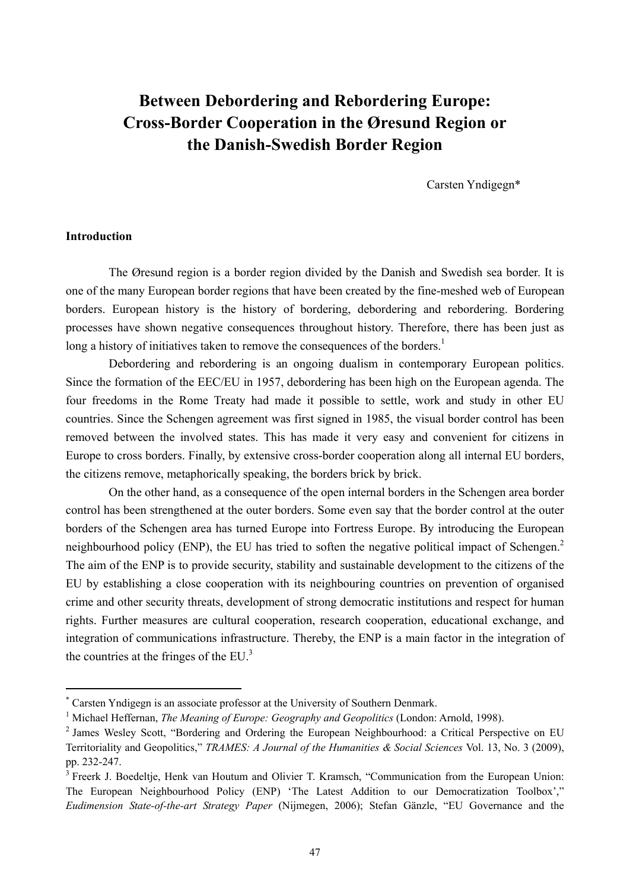# **Between Debordering and Rebordering Europe: Cross-Border Cooperation in the Øresund Region or the Danish-Swedish Border Region**

Carsten Yndigegn\*

## **Introduction**

The Øresund region is a border region divided by the Danish and Swedish sea border. It is one of the many European border regions that have been created by the fine-meshed web of European borders. European history is the history of bordering, debordering and rebordering. Bordering processes have shown negative consequences throughout history. Therefore, there has been just as long a history of initiatives taken to remove the consequences of the borders.<sup>1</sup>

Debordering and rebordering is an ongoing dualism in contemporary European politics. Since the formation of the EEC/EU in 1957, debordering has been high on the European agenda. The four freedoms in the Rome Treaty had made it possible to settle, work and study in other EU countries. Since the Schengen agreement was first signed in 1985, the visual border control has been removed between the involved states. This has made it very easy and convenient for citizens in Europe to cross borders. Finally, by extensive cross-border cooperation along all internal EU borders, the citizens remove, metaphorically speaking, the borders brick by brick.

On the other hand, as a consequence of the open internal borders in the Schengen area border control has been strengthened at the outer borders. Some even say that the border control at the outer borders of the Schengen area has turned Europe into Fortress Europe. By introducing the European neighbourhood policy (ENP), the EU has tried to soften the negative political impact of Schengen.<sup>2</sup> The aim of the ENP is to provide security, stability and sustainable development to the citizens of the EU by establishing a close cooperation with its neighbouring countries on prevention of organised crime and other security threats, development of strong democratic institutions and respect for human rights. Further measures are cultural cooperation, research cooperation, educational exchange, and integration of communications infrastructure. Thereby, the ENP is a main factor in the integration of the countries at the fringes of the EU. $<sup>3</sup>$ </sup>

<sup>\*</sup> Carsten Yndigegn is an associate professor at the University of Southern Denmark.<br><sup>1</sup> Michael Hoffernen, *The Meaning of Europe: Geography and Geopolities* (London:

<sup>&</sup>lt;sup>1</sup> Michael Heffernan, *The Meaning of Europe: Geography and Geopolitics* (London: Arnold, 1998).

<sup>&</sup>lt;sup>2</sup> James Wesley Scott, "Bordering and Ordering the European Neighbourhood: a Critical Perspective on EU Territoriality and Geopolitics," *TRAMES: A Journal of the Humanities & Social Sciences* Vol. 13, No. 3 (2009), pp. 232-247.

<sup>&</sup>lt;sup>3</sup> Freerk J. Boedeltje, Henk van Houtum and Olivier T. Kramsch, "Communication from the European Union: The European Neighbourhood Policy (ENP) 'The Latest Addition to our Democratization Toolbox'," *Eudimension State-of-the-art Strategy Paper* (Nijmegen, 2006); Stefan Gänzle, "EU Governance and the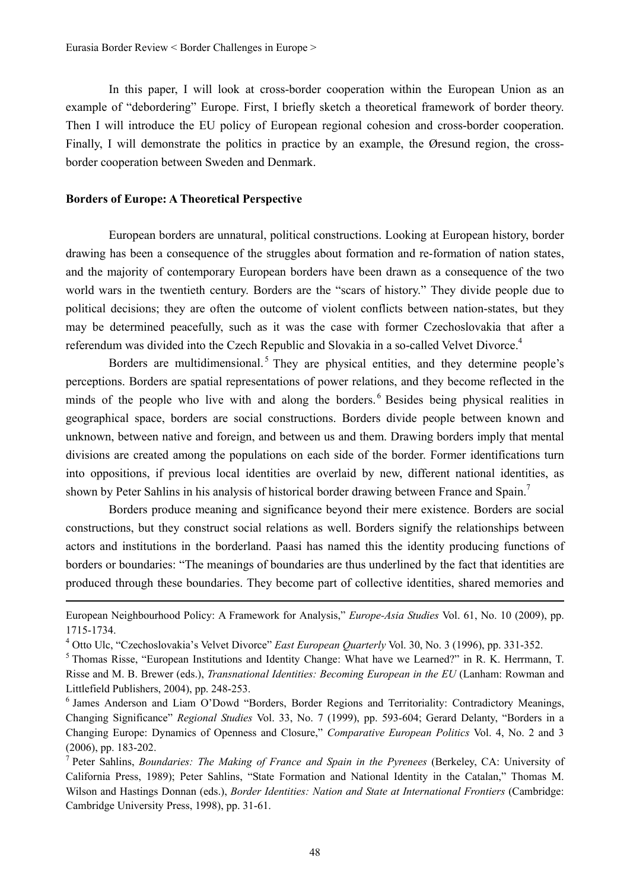In this paper, I will look at cross-border cooperation within the European Union as an example of "debordering" Europe. First, I briefly sketch a theoretical framework of border theory. Then I will introduce the EU policy of European regional cohesion and cross-border cooperation. Finally, I will demonstrate the politics in practice by an example, the Øresund region, the crossborder cooperation between Sweden and Denmark.

## **Borders of Europe: A Theoretical Perspective**

European borders are unnatural, political constructions. Looking at European history, border drawing has been a consequence of the struggles about formation and re-formation of nation states, and the majority of contemporary European borders have been drawn as a consequence of the two world wars in the twentieth century. Borders are the "scars of history." They divide people due to political decisions; they are often the outcome of violent conflicts between nation-states, but they may be determined peacefully, such as it was the case with former Czechoslovakia that after a referendum was divided into the Czech Republic and Slovakia in a so-called Velvet Divorce.<sup>4</sup>

Borders are multidimensional.<sup>5</sup> They are physical entities, and they determine people's perceptions. Borders are spatial representations of power relations, and they become reflected in the minds of the people who live with and along the borders.<sup>6</sup> Besides being physical realities in geographical space, borders are social constructions. Borders divide people between known and unknown, between native and foreign, and between us and them. Drawing borders imply that mental divisions are created among the populations on each side of the border. Former identifications turn into oppositions, if previous local identities are overlaid by new, different national identities, as shown by Peter Sahlins in his analysis of historical border drawing between France and Spain.<sup>7</sup>

Borders produce meaning and significance beyond their mere existence. Borders are social constructions, but they construct social relations as well. Borders signify the relationships between actors and institutions in the borderland. Paasi has named this the identity producing functions of borders or boundaries: "The meanings of boundaries are thus underlined by the fact that identities are produced through these boundaries. They become part of collective identities, shared memories and

<sup>&</sup>lt;u> Andrewski politika (za obrazu pod obrazu pod obrazu pod obrazu pod obrazu pod obrazu pod obrazu pod obrazu p</u> European Neighbourhood Policy: A Framework for Analysis," *Europe-Asia Studies* Vol. 61, No. 10 (2009), pp. 1715-1734.

<sup>&</sup>lt;sup>4</sup> Otto Ulc, "Czechoslovakia's Velvet Divorce" *East European Quarterly* Vol. 30, No. 3 (1996), pp. 331-352. 5<br><sup>5</sup> Thomas Bisse, "European Institutions and Identity Change: What have we Learned?" in B. K. Herrman

<sup>&</sup>lt;sup>5</sup> Thomas Risse, "European Institutions and Identity Change: What have we Learned?" in R. K. Herrmann, T. Risse and M. B. Brewer (eds.), *Transnational Identities: Becoming European in the EU* (Lanham: Rowman and Littlefield Publishers, 2004), pp. 248-253.

<sup>6</sup> James Anderson and Liam O'Dowd "Borders, Border Regions and Territoriality: Contradictory Meanings, Changing Significance" *Regional Studies* Vol. 33, No. 7 (1999), pp. 593-604; Gerard Delanty, "Borders in a Changing Europe: Dynamics of Openness and Closure," *Comparative European Politics* Vol. 4, No. 2 and 3 (2006), pp. 183-202.

<sup>7</sup> Peter Sahlins, *Boundaries: The Making of France and Spain in the Pyrenees* (Berkeley, CA: University of California Press, 1989); Peter Sahlins, "State Formation and National Identity in the Catalan," Thomas M. Wilson and Hastings Donnan (eds.), *Border Identities: Nation and State at International Frontiers* (Cambridge: Cambridge University Press, 1998), pp. 31-61.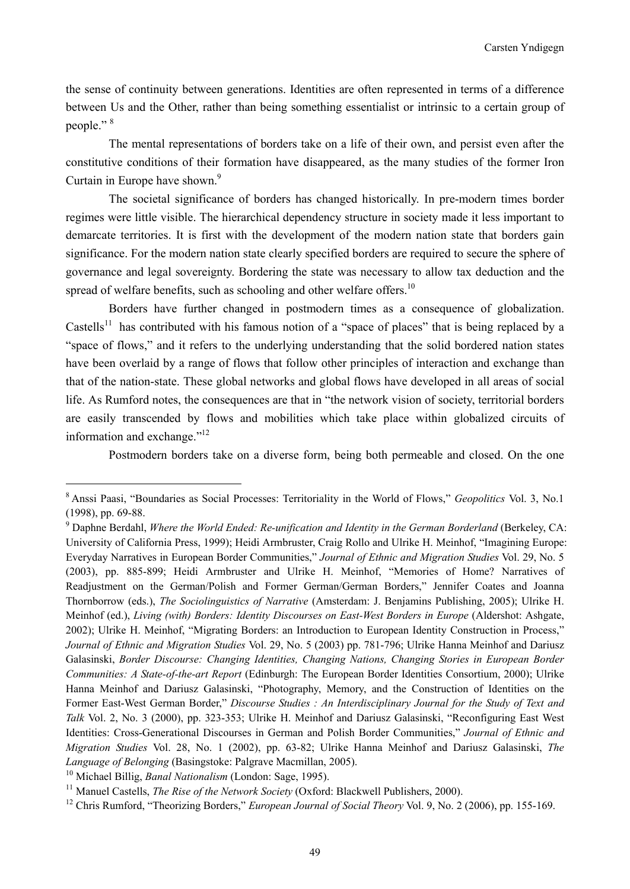the sense of continuity between generations. Identities are often represented in terms of a difference between Us and the Other, rather than being something essentialist or intrinsic to a certain group of people." 8

The mental representations of borders take on a life of their own, and persist even after the constitutive conditions of their formation have disappeared, as the many studies of the former Iron Curtain in Europe have shown.<sup>9</sup>

The societal significance of borders has changed historically. In pre-modern times border regimes were little visible. The hierarchical dependency structure in society made it less important to demarcate territories. It is first with the development of the modern nation state that borders gain significance. For the modern nation state clearly specified borders are required to secure the sphere of governance and legal sovereignty. Bordering the state was necessary to allow tax deduction and the spread of welfare benefits, such as schooling and other welfare offers.<sup>10</sup>

Borders have further changed in postmodern times as a consequence of globalization. Castells<sup>11</sup> has contributed with his famous notion of a "space of places" that is being replaced by a "space of flows," and it refers to the underlying understanding that the solid bordered nation states have been overlaid by a range of flows that follow other principles of interaction and exchange than that of the nation-state. These global networks and global flows have developed in all areas of social life. As Rumford notes, the consequences are that in "the network vision of society, territorial borders are easily transcended by flows and mobilities which take place within globalized circuits of information and exchange."<sup>12</sup>

Postmodern borders take on a diverse form, being both permeable and closed. On the one

<sup>8</sup> Anssi Paasi, "Boundaries as Social Processes: Territoriality in the World of Flows," *Geopolitics* Vol. 3, No.1 (1998), pp. 69-88.

<sup>9</sup> Daphne Berdahl, *Where the World Ended: Re-unification and Identity in the German Borderland* (Berkeley, CA: University of California Press, 1999); Heidi Armbruster, Craig Rollo and Ulrike H. Meinhof, "Imagining Europe: Everyday Narratives in European Border Communities," *Journal of Ethnic and Migration Studies* Vol. 29, No. 5 (2003), pp. 885-899; Heidi Armbruster and Ulrike H. Meinhof, "Memories of Home? Narratives of Readjustment on the German/Polish and Former German/German Borders," Jennifer Coates and Joanna Thornborrow (eds.), *The Sociolinguistics of Narrative* (Amsterdam: J. Benjamins Publishing, 2005); Ulrike H. Meinhof (ed.), *Living (with) Borders: Identity Discourses on East-West Borders in Europe* (Aldershot: Ashgate, 2002); Ulrike H. Meinhof, "Migrating Borders: an Introduction to European Identity Construction in Process," *Journal of Ethnic and Migration Studies* Vol. 29, No. 5 (2003) pp. 781-796; Ulrike Hanna Meinhof and Dariusz Galasinski, *Border Discourse: Changing Identities, Changing Nations, Changing Stories in European Border Communities: A State-of-the-art Report* (Edinburgh: The European Border Identities Consortium, 2000); Ulrike Hanna Meinhof and Dariusz Galasinski, "Photography, Memory, and the Construction of Identities on the Former East-West German Border," *Discourse Studies : An Interdisciplinary Journal for the Study of Text and Talk* Vol. 2, No. 3 (2000), pp. 323-353; Ulrike H. Meinhof and Dariusz Galasinski, "Reconfiguring East West Identities: Cross-Generational Discourses in German and Polish Border Communities," *Journal of Ethnic and Migration Studies* Vol. 28, No. 1 (2002), pp. 63-82; Ulrike Hanna Meinhof and Dariusz Galasinski, *The*  Language of Belonging (Basingstoke: Palgrave Macmillan, 2005).<br><sup>10</sup> Michael Billig, *Banal Nationalism* (London: Sage, 1995).<br><sup>11</sup> Manuel Castells, *The Rise of the Network Society* (Oxford: Blackwell Publishers, 2000).<br><sup>1</sup>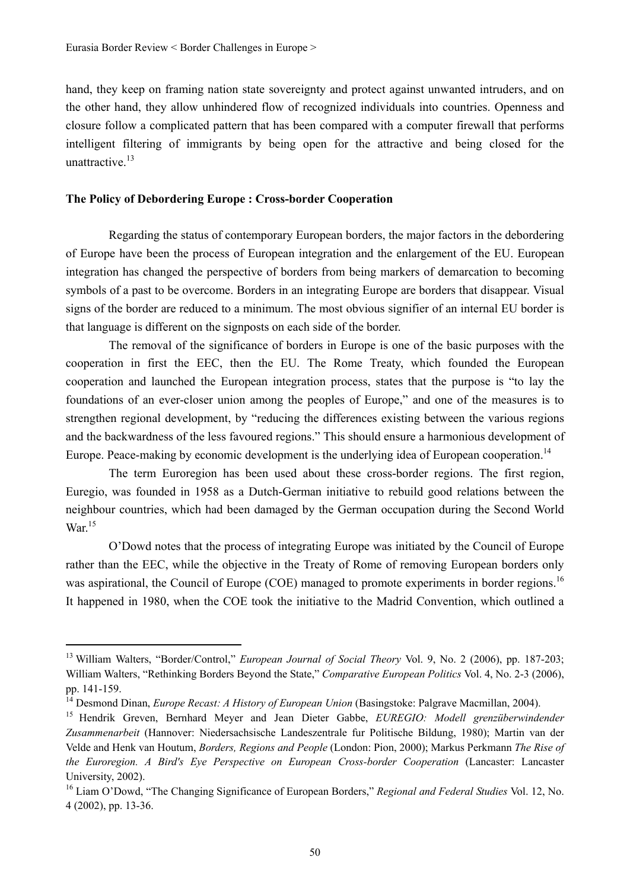hand, they keep on framing nation state sovereignty and protect against unwanted intruders, and on the other hand, they allow unhindered flow of recognized individuals into countries. Openness and closure follow a complicated pattern that has been compared with a computer firewall that performs intelligent filtering of immigrants by being open for the attractive and being closed for the unattractive.<sup>13</sup>

## **The Policy of Debordering Europe : Cross-border Cooperation**

Regarding the status of contemporary European borders, the major factors in the debordering of Europe have been the process of European integration and the enlargement of the EU. European integration has changed the perspective of borders from being markers of demarcation to becoming symbols of a past to be overcome. Borders in an integrating Europe are borders that disappear. Visual signs of the border are reduced to a minimum. The most obvious signifier of an internal EU border is that language is different on the signposts on each side of the border.

The removal of the significance of borders in Europe is one of the basic purposes with the cooperation in first the EEC, then the EU. The Rome Treaty, which founded the European cooperation and launched the European integration process, states that the purpose is "to lay the foundations of an ever-closer union among the peoples of Europe," and one of the measures is to strengthen regional development, by "reducing the differences existing between the various regions and the backwardness of the less favoured regions." This should ensure a harmonious development of Europe. Peace-making by economic development is the underlying idea of European cooperation.<sup>14</sup>

The term Euroregion has been used about these cross-border regions. The first region, Euregio, was founded in 1958 as a Dutch-German initiative to rebuild good relations between the neighbour countries, which had been damaged by the German occupation during the Second World War.<sup>15</sup>

O'Dowd notes that the process of integrating Europe was initiated by the Council of Europe rather than the EEC, while the objective in the Treaty of Rome of removing European borders only was aspirational, the Council of Europe (COE) managed to promote experiments in border regions.<sup>16</sup> It happened in 1980, when the COE took the initiative to the Madrid Convention, which outlined a

<sup>13</sup> William Walters, "Border/Control," *European Journal of Social Theory* Vol. 9, No. 2 (2006), pp. 187-203; William Walters, "Rethinking Borders Beyond the State," *Comparative European Politics* Vol. 4, No. 2-3 (2006), pp. 141-159.

<sup>&</sup>lt;sup>14</sup> Desmond Dinan, *Europe Recast: A History of European Union* (Basingstoke: Palgrave Macmillan, 2004).<br><sup>15</sup> Hendrik Greven, Bernhard Meyer and Jean Dieter Gabbe, *EUREGIO: Modell grenzüberwindender* 

*Zusammenarbeit* (Hannover: Niedersachsische Landeszentrale fur Politische Bildung, 1980); Martin van der Velde and Henk van Houtum, *Borders, Regions and People* (London: Pion, 2000); Markus Perkmann *The Rise of the Euroregion. A Bird's Eye Perspective on European Cross-border Cooperation* (Lancaster: Lancaster University, 2002).

<sup>16</sup> Liam O'Dowd, "The Changing Significance of European Borders," *Regional and Federal Studies* Vol. 12, No. 4 (2002), pp. 13-36.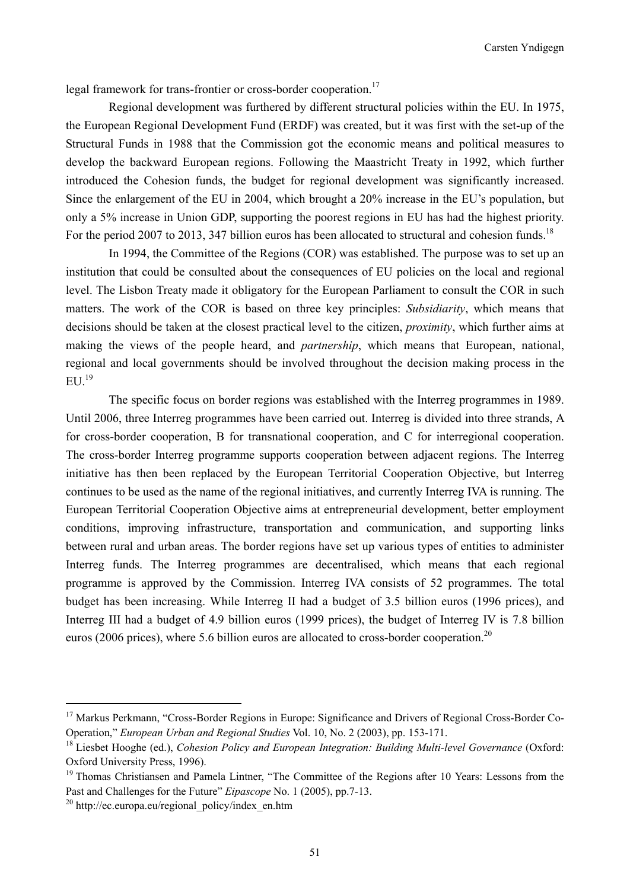legal framework for trans-frontier or cross-border cooperation.<sup>17</sup>

Regional development was furthered by different structural policies within the EU. In 1975, the European Regional Development Fund (ERDF) was created, but it was first with the set-up of the Structural Funds in 1988 that the Commission got the economic means and political measures to develop the backward European regions. Following the Maastricht Treaty in 1992, which further introduced the Cohesion funds, the budget for regional development was significantly increased. Since the enlargement of the EU in 2004, which brought a 20% increase in the EU's population, but only a 5% increase in Union GDP, supporting the poorest regions in EU has had the highest priority. For the period 2007 to 2013, 347 billion euros has been allocated to structural and cohesion funds.<sup>18</sup>

In 1994, the Committee of the Regions (COR) was established. The purpose was to set up an institution that could be consulted about the consequences of EU policies on the local and regional level. The Lisbon Treaty made it obligatory for the European Parliament to consult the COR in such matters. The work of the COR is based on three key principles: *Subsidiarity*, which means that decisions should be taken at the closest practical level to the citizen, *proximity*, which further aims at making the views of the people heard, and *partnership*, which means that European, national, regional and local governments should be involved throughout the decision making process in the  $EU<sup>19</sup>$ 

The specific focus on border regions was established with the Interreg programmes in 1989. Until 2006, three Interreg programmes have been carried out. Interreg is divided into three strands, A for cross-border cooperation, B for transnational cooperation, and C for interregional cooperation. The cross-border Interreg programme supports cooperation between adjacent regions. The Interreg initiative has then been replaced by the European Territorial Cooperation Objective, but Interreg continues to be used as the name of the regional initiatives, and currently Interreg IVA is running. The European Territorial Cooperation Objective aims at entrepreneurial development, better employment conditions, improving infrastructure, transportation and communication, and supporting links between rural and urban areas. The border regions have set up various types of entities to administer Interreg funds. The Interreg programmes are decentralised, which means that each regional programme is approved by the Commission. Interreg IVA consists of 52 programmes. The total budget has been increasing. While Interreg II had a budget of 3.5 billion euros (1996 prices), and Interreg III had a budget of 4.9 billion euros (1999 prices), the budget of Interreg IV is 7.8 billion euros (2006 prices), where 5.6 billion euros are allocated to cross-border cooperation.<sup>20</sup>

<sup>&</sup>lt;sup>17</sup> Markus Perkmann, "Cross-Border Regions in Europe: Significance and Drivers of Regional Cross-Border Co-Operation," *European Urban and Regional Studies Vol.* 10, No. 2 (2003), pp. 153-171.<br><sup>18</sup> Liesbet Hooghe (ed.), *Cohesion Policy and European Integration: Building Multi-level Governance* (Oxford:

Oxford University Press, 1996).

<sup>&</sup>lt;sup>19</sup> Thomas Christiansen and Pamela Lintner, "The Committee of the Regions after 10 Years: Lessons from the Past and Challenges for the Future" *Eipascope* No. 1 (2005), pp.7-13.<br><sup>20</sup> http://ec.europa.eu/regional\_policy/index\_en.htm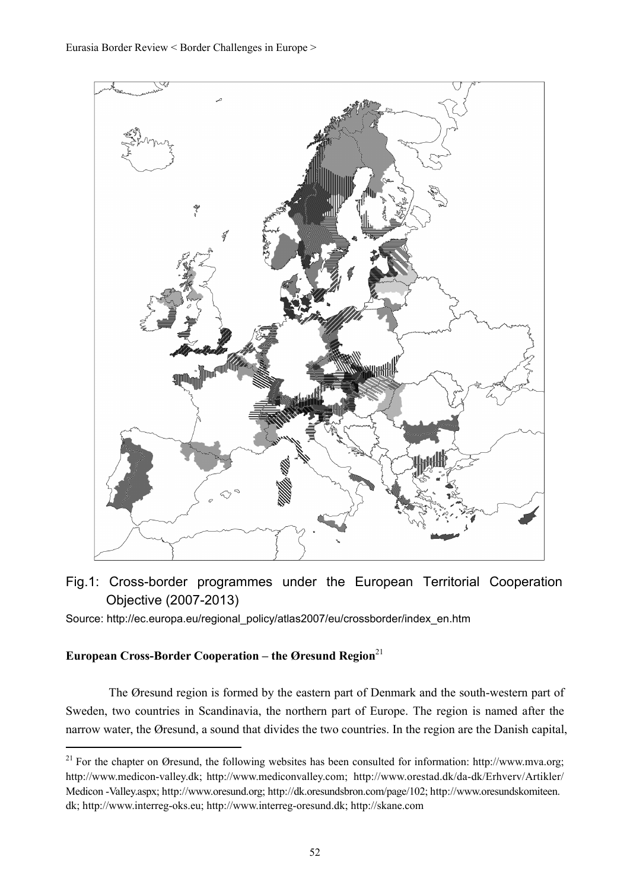

Fig.1: Cross-border programmes under the European Territorial Cooperation Objective (2007-2013)

Source: http://ec.europa.eu/regional\_policy/atlas2007/eu/crossborder/index\_en.htm

# **European Cross-Border Cooperation – the Øresund Region**<sup>21</sup>

The Øresund region is formed by the eastern part of Denmark and the south-western part of Sweden, two countries in Scandinavia, the northern part of Europe. The region is named after the narrow water, the Øresund, a sound that divides the two countries. In the region are the Danish capital,

<sup>&</sup>lt;sup>21</sup> For the chapter on Øresund, the following websites has been consulted for information: http://www.mva.org; http://www.medicon-valley.dk; http://www.mediconvalley.com; http://www.orestad.dk/da-dk/Erhverv/Artikler/ Medicon -Valley.aspx; http://www.oresund.org; http://dk.oresundsbron.com/page/102; http://www.oresundskomiteen. dk; http://www.interreg-oks.eu; http://www.interreg-oresund.dk; http://skane.com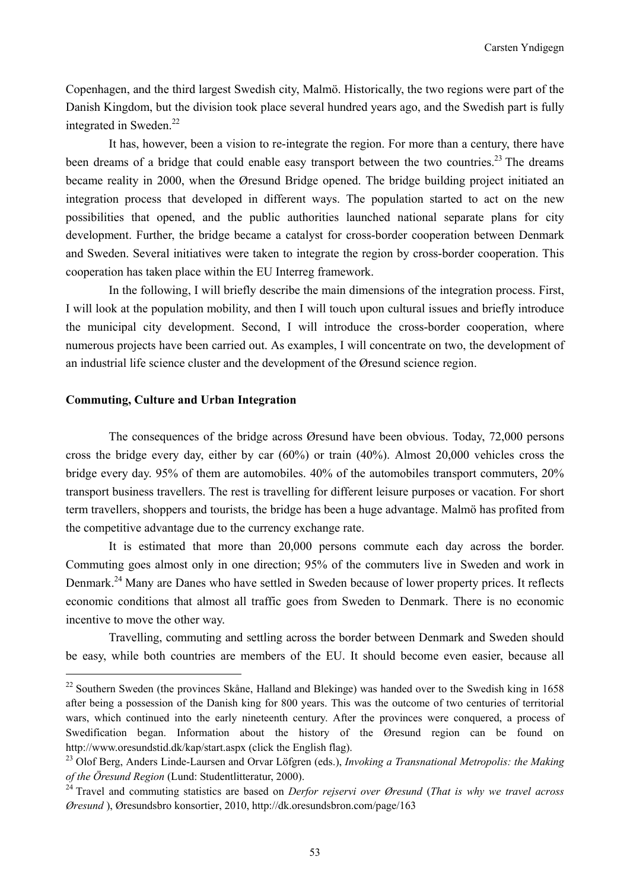Copenhagen, and the third largest Swedish city, Malmö. Historically, the two regions were part of the Danish Kingdom, but the division took place several hundred years ago, and the Swedish part is fully integrated in Sweden.<sup>22</sup>

It has, however, been a vision to re-integrate the region. For more than a century, there have been dreams of a bridge that could enable easy transport between the two countries.<sup>23</sup> The dreams became reality in 2000, when the Øresund Bridge opened. The bridge building project initiated an integration process that developed in different ways. The population started to act on the new possibilities that opened, and the public authorities launched national separate plans for city development. Further, the bridge became a catalyst for cross-border cooperation between Denmark and Sweden. Several initiatives were taken to integrate the region by cross-border cooperation. This cooperation has taken place within the EU Interreg framework.

In the following, I will briefly describe the main dimensions of the integration process. First, I will look at the population mobility, and then I will touch upon cultural issues and briefly introduce the municipal city development. Second, I will introduce the cross-border cooperation, where numerous projects have been carried out. As examples, I will concentrate on two, the development of an industrial life science cluster and the development of the Øresund science region.

## **Commuting, Culture and Urban Integration**

The consequences of the bridge across Øresund have been obvious. Today, 72,000 persons cross the bridge every day, either by car (60%) or train (40%). Almost 20,000 vehicles cross the bridge every day. 95% of them are automobiles. 40% of the automobiles transport commuters, 20% transport business travellers. The rest is travelling for different leisure purposes or vacation. For short term travellers, shoppers and tourists, the bridge has been a huge advantage. Malmö has profited from the competitive advantage due to the currency exchange rate.

It is estimated that more than 20,000 persons commute each day across the border. Commuting goes almost only in one direction; 95% of the commuters live in Sweden and work in Denmark.24 Many are Danes who have settled in Sweden because of lower property prices. It reflects economic conditions that almost all traffic goes from Sweden to Denmark. There is no economic incentive to move the other way.

Travelling, commuting and settling across the border between Denmark and Sweden should be easy, while both countries are members of the EU. It should become even easier, because all

 $22$  Southern Sweden (the provinces Skåne, Halland and Blekinge) was handed over to the Swedish king in 1658 after being a possession of the Danish king for 800 years. This was the outcome of two centuries of territorial wars, which continued into the early nineteenth century. After the provinces were conquered, a process of Swedification began. Information about the history of the Øresund region can be found on http://www.oresundstid.dk/kap/start.aspx (click the English flag). 23 Olof Berg, Anders Linde-Laursen and Orvar Löfgren (eds.), *Invoking a Transnational Metropolis: the Making* 

*of the Öresund Region* (Lund: Studentlitteratur, 2000). 24 Travel and commuting statistics are based on *Derfor rejservi over Øresund* (*That is why we travel across* 

*Øresund* ), Øresundsbro konsortier, 2010, http://dk.oresundsbron.com/page/163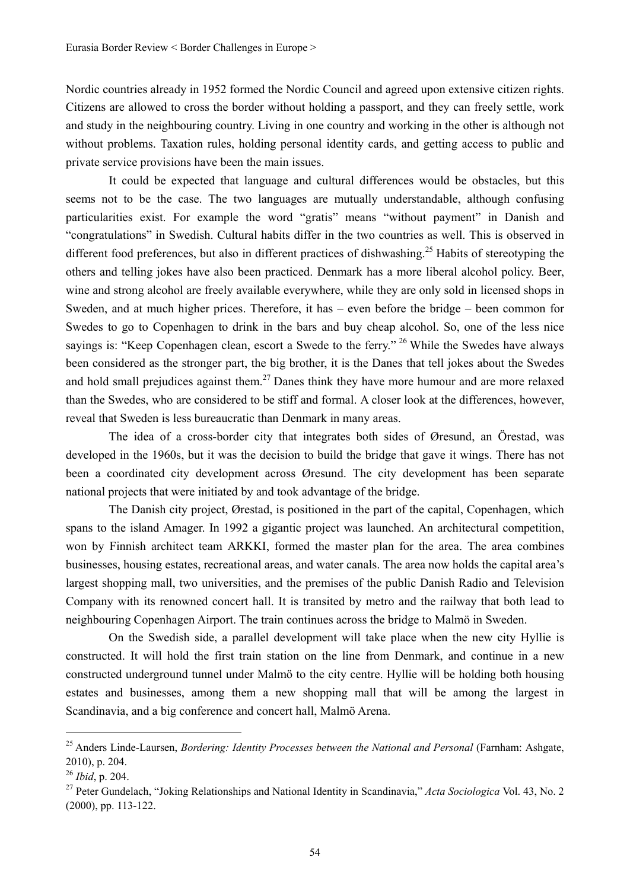Nordic countries already in 1952 formed the Nordic Council and agreed upon extensive citizen rights. Citizens are allowed to cross the border without holding a passport, and they can freely settle, work and study in the neighbouring country. Living in one country and working in the other is although not without problems. Taxation rules, holding personal identity cards, and getting access to public and private service provisions have been the main issues.

It could be expected that language and cultural differences would be obstacles, but this seems not to be the case. The two languages are mutually understandable, although confusing particularities exist. For example the word "gratis" means "without payment" in Danish and "congratulations" in Swedish. Cultural habits differ in the two countries as well. This is observed in different food preferences, but also in different practices of dishwashing.<sup>25</sup> Habits of stereotyping the others and telling jokes have also been practiced. Denmark has a more liberal alcohol policy. Beer, wine and strong alcohol are freely available everywhere, while they are only sold in licensed shops in Sweden, and at much higher prices. Therefore, it has – even before the bridge – been common for Swedes to go to Copenhagen to drink in the bars and buy cheap alcohol. So, one of the less nice sayings is: "Keep Copenhagen clean, escort a Swede to the ferry." <sup>26</sup> While the Swedes have always been considered as the stronger part, the big brother, it is the Danes that tell jokes about the Swedes and hold small prejudices against them.<sup>27</sup> Danes think they have more humour and are more relaxed than the Swedes, who are considered to be stiff and formal. A closer look at the differences, however, reveal that Sweden is less bureaucratic than Denmark in many areas.

The idea of a cross-border city that integrates both sides of Øresund, an Örestad, was developed in the 1960s, but it was the decision to build the bridge that gave it wings. There has not been a coordinated city development across Øresund. The city development has been separate national projects that were initiated by and took advantage of the bridge.

The Danish city project, Ørestad, is positioned in the part of the capital, Copenhagen, which spans to the island Amager. In 1992 a gigantic project was launched. An architectural competition, won by Finnish architect team ARKKI, formed the master plan for the area. The area combines businesses, housing estates, recreational areas, and water canals. The area now holds the capital area's largest shopping mall, two universities, and the premises of the public Danish Radio and Television Company with its renowned concert hall. It is transited by metro and the railway that both lead to neighbouring Copenhagen Airport. The train continues across the bridge to Malmö in Sweden.

On the Swedish side, a parallel development will take place when the new city Hyllie is constructed. It will hold the first train station on the line from Denmark, and continue in a new constructed underground tunnel under Malmö to the city centre. Hyllie will be holding both housing estates and businesses, among them a new shopping mall that will be among the largest in Scandinavia, and a big conference and concert hall, Malmö Arena.

<sup>25</sup> Anders Linde-Laursen, *Bordering: Identity Processes between the National and Personal* (Farnham: Ashgate, 2010), p. 204.

<sup>&</sup>lt;sup>26</sup> *Ibid*, p. 204.<br><sup>27</sup> Peter Gundelach, "Joking Relationships and National Identity in Scandinavia," *Acta Sociologica* Vol. 43, No. 2 (2000), pp. 113-122.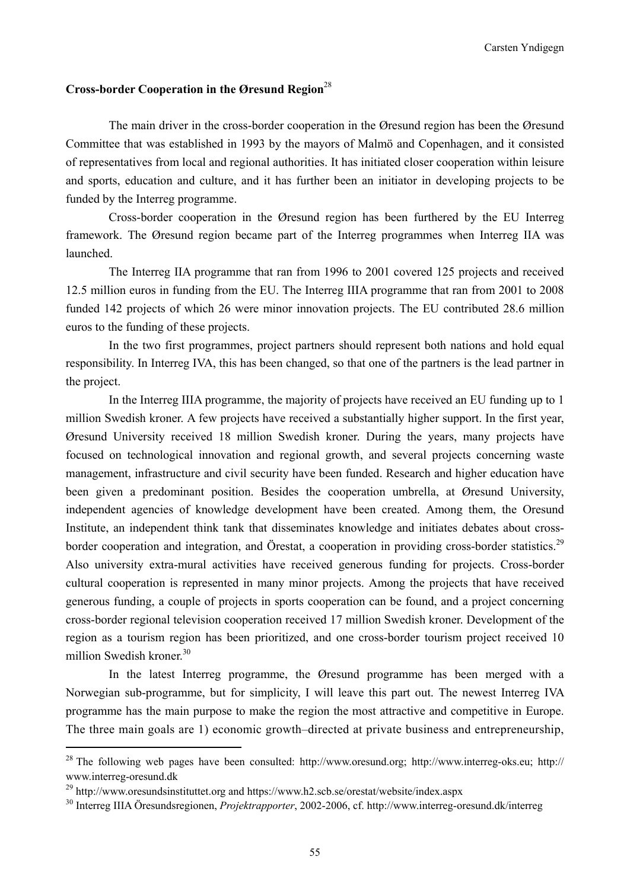## **Cross-border Cooperation in the Øresund Region**<sup>28</sup>

The main driver in the cross-border cooperation in the Øresund region has been the Øresund Committee that was established in 1993 by the mayors of Malmö and Copenhagen, and it consisted of representatives from local and regional authorities. It has initiated closer cooperation within leisure and sports, education and culture, and it has further been an initiator in developing projects to be funded by the Interreg programme.

Cross-border cooperation in the Øresund region has been furthered by the EU Interreg framework. The Øresund region became part of the Interreg programmes when Interreg IIA was launched.

The Interreg IIA programme that ran from 1996 to 2001 covered 125 projects and received 12.5 million euros in funding from the EU. The Interreg IIIA programme that ran from 2001 to 2008 funded 142 projects of which 26 were minor innovation projects. The EU contributed 28.6 million euros to the funding of these projects.

In the two first programmes, project partners should represent both nations and hold equal responsibility. In Interreg IVA, this has been changed, so that one of the partners is the lead partner in the project.

In the Interreg IIIA programme, the majority of projects have received an EU funding up to 1 million Swedish kroner. A few projects have received a substantially higher support. In the first year, Øresund University received 18 million Swedish kroner. During the years, many projects have focused on technological innovation and regional growth, and several projects concerning waste management, infrastructure and civil security have been funded. Research and higher education have been given a predominant position. Besides the cooperation umbrella, at Øresund University, independent agencies of knowledge development have been created. Among them, the Oresund Institute, an independent think tank that disseminates knowledge and initiates debates about crossborder cooperation and integration, and Örestat, a cooperation in providing cross-border statistics.<sup>29</sup> Also university extra-mural activities have received generous funding for projects. Cross-border cultural cooperation is represented in many minor projects. Among the projects that have received generous funding, a couple of projects in sports cooperation can be found, and a project concerning cross-border regional television cooperation received 17 million Swedish kroner. Development of the region as a tourism region has been prioritized, and one cross-border tourism project received 10 million Swedish kroner.<sup>30</sup>

In the latest Interreg programme, the Øresund programme has been merged with a Norwegian sub-programme, but for simplicity, I will leave this part out. The newest Interreg IVA programme has the main purpose to make the region the most attractive and competitive in Europe. The three main goals are 1) economic growth–directed at private business and entrepreneurship,

<sup>28</sup> The following web pages have been consulted: http://www.oresund.org; http://www.interreg-oks.eu; http:// www.interreg-oresund.dk

<sup>29</sup> http://www.oresundsinstituttet.org and https://www.h2.scb.se/orestat/website/index.aspx 30 Interreg IIIA Öresundsregionen, *Projektrapporter*, 2002-2006, cf. http://www.interreg-oresund.dk/interreg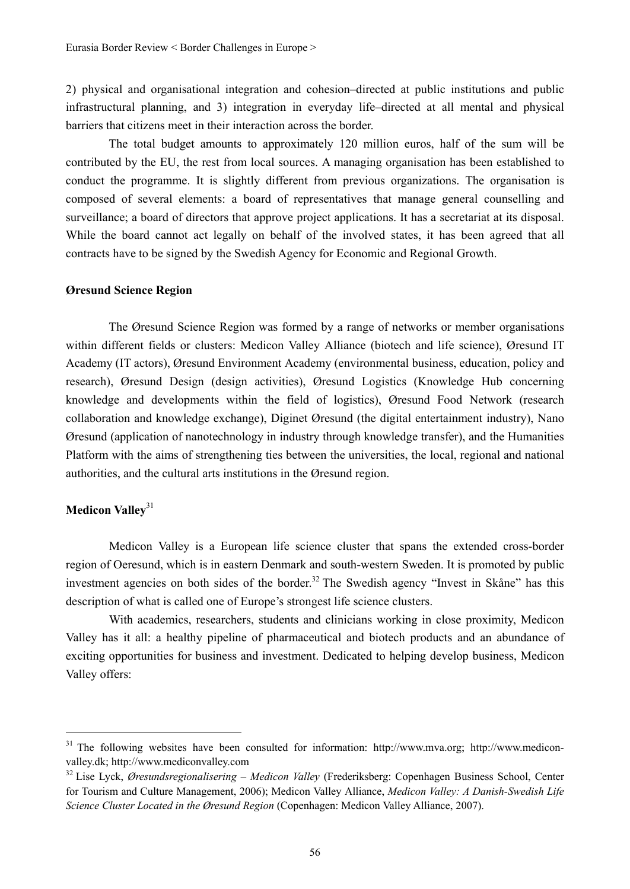2) physical and organisational integration and cohesion–directed at public institutions and public infrastructural planning, and 3) integration in everyday life–directed at all mental and physical barriers that citizens meet in their interaction across the border.

The total budget amounts to approximately 120 million euros, half of the sum will be contributed by the EU, the rest from local sources. A managing organisation has been established to conduct the programme. It is slightly different from previous organizations. The organisation is composed of several elements: a board of representatives that manage general counselling and surveillance; a board of directors that approve project applications. It has a secretariat at its disposal. While the board cannot act legally on behalf of the involved states, it has been agreed that all contracts have to be signed by the Swedish Agency for Economic and Regional Growth.

#### **Øresund Science Region**

The Øresund Science Region was formed by a range of networks or member organisations within different fields or clusters: Medicon Valley Alliance (biotech and life science), Øresund IT Academy (IT actors), Øresund Environment Academy (environmental business, education, policy and research), Øresund Design (design activities), Øresund Logistics (Knowledge Hub concerning knowledge and developments within the field of logistics), Øresund Food Network (research collaboration and knowledge exchange), Diginet Øresund (the digital entertainment industry), Nano Øresund (application of nanotechnology in industry through knowledge transfer), and the Humanities Platform with the aims of strengthening ties between the universities, the local, regional and national authorities, and the cultural arts institutions in the Øresund region.

# **Medicon Valley**<sup>31</sup>

Medicon Valley is a European life science cluster that spans the extended cross-border region of Oeresund, which is in eastern Denmark and south-western Sweden. It is promoted by public investment agencies on both sides of the border.<sup>32</sup> The Swedish agency "Invest in Skåne" has this description of what is called one of Europe's strongest life science clusters.

With academics, researchers, students and clinicians working in close proximity, Medicon Valley has it all: a healthy pipeline of pharmaceutical and biotech products and an abundance of exciting opportunities for business and investment. Dedicated to helping develop business, Medicon Valley offers:

<sup>&</sup>lt;sup>31</sup> The following websites have been consulted for information: http://www.mva.org; http://www.mediconvalley.dk; http://www.mediconvalley.com 32 Lise Lyck, *Øresundsregionalisering* – *Medicon Valley* (Frederiksberg: Copenhagen Business School, Center

for Tourism and Culture Management, 2006); Medicon Valley Alliance, *Medicon Valley: A Danish-Swedish Life Science Cluster Located in the Øresund Region* (Copenhagen: Medicon Valley Alliance, 2007).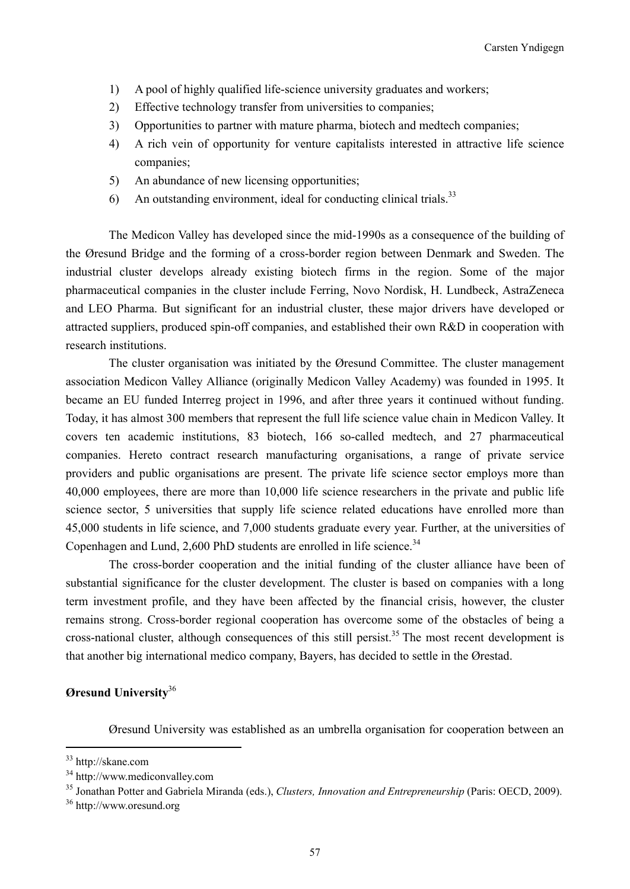- 1) A pool of highly qualified life-science university graduates and workers;
- 2) Effective technology transfer from universities to companies;
- 3) Opportunities to partner with mature pharma, biotech and medtech companies;
- 4) A rich vein of opportunity for venture capitalists interested in attractive life science companies;
- 5) An abundance of new licensing opportunities;
- 6) An outstanding environment, ideal for conducting clinical trials.<sup>33</sup>

The Medicon Valley has developed since the mid-1990s as a consequence of the building of the Øresund Bridge and the forming of a cross-border region between Denmark and Sweden. The industrial cluster develops already existing biotech firms in the region. Some of the major pharmaceutical companies in the cluster include Ferring, Novo Nordisk, H. Lundbeck, AstraZeneca and LEO Pharma. But significant for an industrial cluster, these major drivers have developed or attracted suppliers, produced spin-off companies, and established their own R&D in cooperation with research institutions.

The cluster organisation was initiated by the Øresund Committee. The cluster management association Medicon Valley Alliance (originally Medicon Valley Academy) was founded in 1995. It became an EU funded Interreg project in 1996, and after three years it continued without funding. Today, it has almost 300 members that represent the full life science value chain in Medicon Valley. It covers ten academic institutions, 83 biotech, 166 so-called medtech, and 27 pharmaceutical companies. Hereto contract research manufacturing organisations, a range of private service providers and public organisations are present. The private life science sector employs more than 40,000 employees, there are more than 10,000 life science researchers in the private and public life science sector, 5 universities that supply life science related educations have enrolled more than 45,000 students in life science, and 7,000 students graduate every year. Further, at the universities of Copenhagen and Lund, 2,600 PhD students are enrolled in life science.<sup>34</sup>

The cross-border cooperation and the initial funding of the cluster alliance have been of substantial significance for the cluster development. The cluster is based on companies with a long term investment profile, and they have been affected by the financial crisis, however, the cluster remains strong. Cross-border regional cooperation has overcome some of the obstacles of being a cross-national cluster, although consequences of this still persist.<sup>35</sup> The most recent development is that another big international medico company, Bayers, has decided to settle in the Ørestad.

# **Øresund University**<sup>36</sup>

Øresund University was established as an umbrella organisation for cooperation between an

<sup>33</sup> http://skane.com

<sup>34</sup> http://www.mediconvalley.com

<sup>&</sup>lt;sup>35</sup> Jonathan Potter and Gabriela Miranda (eds.), *Clusters, Innovation and Entrepreneurship* (Paris: OECD, 2009).<br><sup>36</sup> http://www.oresund.org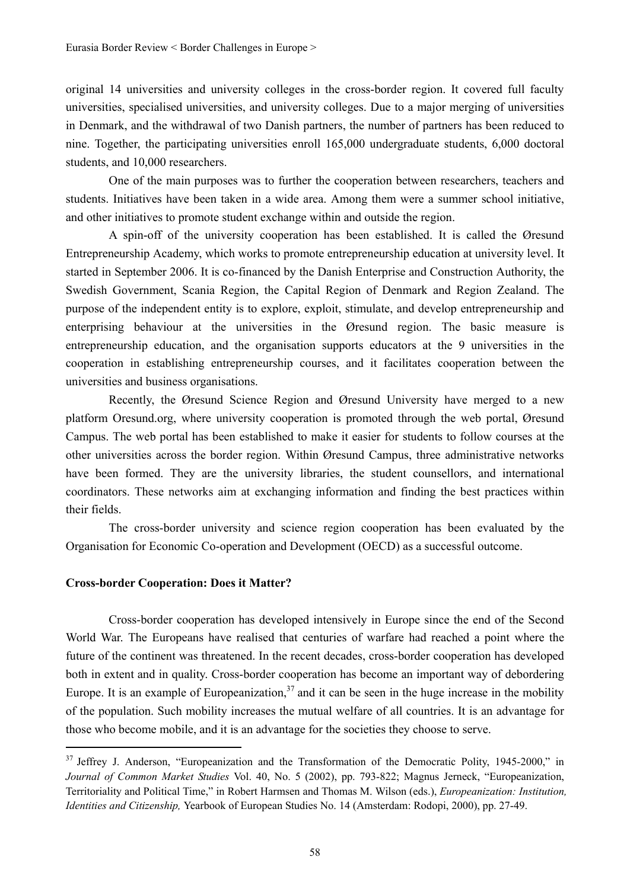original 14 universities and university colleges in the cross-border region. It covered full faculty universities, specialised universities, and university colleges. Due to a major merging of universities in Denmark, and the withdrawal of two Danish partners, the number of partners has been reduced to nine. Together, the participating universities enroll 165,000 undergraduate students, 6,000 doctoral students, and 10,000 researchers.

One of the main purposes was to further the cooperation between researchers, teachers and students. Initiatives have been taken in a wide area. Among them were a summer school initiative, and other initiatives to promote student exchange within and outside the region.

A spin-off of the university cooperation has been established. It is called the Øresund Entrepreneurship Academy, which works to promote entrepreneurship education at university level. It started in September 2006. It is co-financed by the Danish Enterprise and Construction Authority, the Swedish Government, Scania Region, the Capital Region of Denmark and Region Zealand. The purpose of the independent entity is to explore, exploit, stimulate, and develop entrepreneurship and enterprising behaviour at the universities in the Øresund region. The basic measure is entrepreneurship education, and the organisation supports educators at the 9 universities in the cooperation in establishing entrepreneurship courses, and it facilitates cooperation between the universities and business organisations.

Recently, the Øresund Science Region and Øresund University have merged to a new platform Oresund.org, where university cooperation is promoted through the web portal, Øresund Campus. The web portal has been established to make it easier for students to follow courses at the other universities across the border region. Within Øresund Campus, three administrative networks have been formed. They are the university libraries, the student counsellors, and international coordinators. These networks aim at exchanging information and finding the best practices within their fields.

The cross-border university and science region cooperation has been evaluated by the Organisation for Economic Co-operation and Development (OECD) as a successful outcome.

## **Cross-border Cooperation: Does it Matter?**

Cross-border cooperation has developed intensively in Europe since the end of the Second World War. The Europeans have realised that centuries of warfare had reached a point where the future of the continent was threatened. In the recent decades, cross-border cooperation has developed both in extent and in quality. Cross-border cooperation has become an important way of debordering Europe. It is an example of Europeanization,  $37$  and it can be seen in the huge increase in the mobility of the population. Such mobility increases the mutual welfare of all countries. It is an advantage for those who become mobile, and it is an advantage for the societies they choose to serve.

<sup>&</sup>lt;sup>37</sup> Jeffrey J. Anderson, "Europeanization and the Transformation of the Democratic Polity, 1945-2000," in *Journal of Common Market Studies* Vol. 40, No. 5 (2002), pp. 793-822; Magnus Jerneck, "Europeanization, Territoriality and Political Time," in Robert Harmsen and Thomas M. Wilson (eds.), *Europeanization: Institution, Identities and Citizenship,* Yearbook of European Studies No. 14 (Amsterdam: Rodopi, 2000), pp. 27-49.